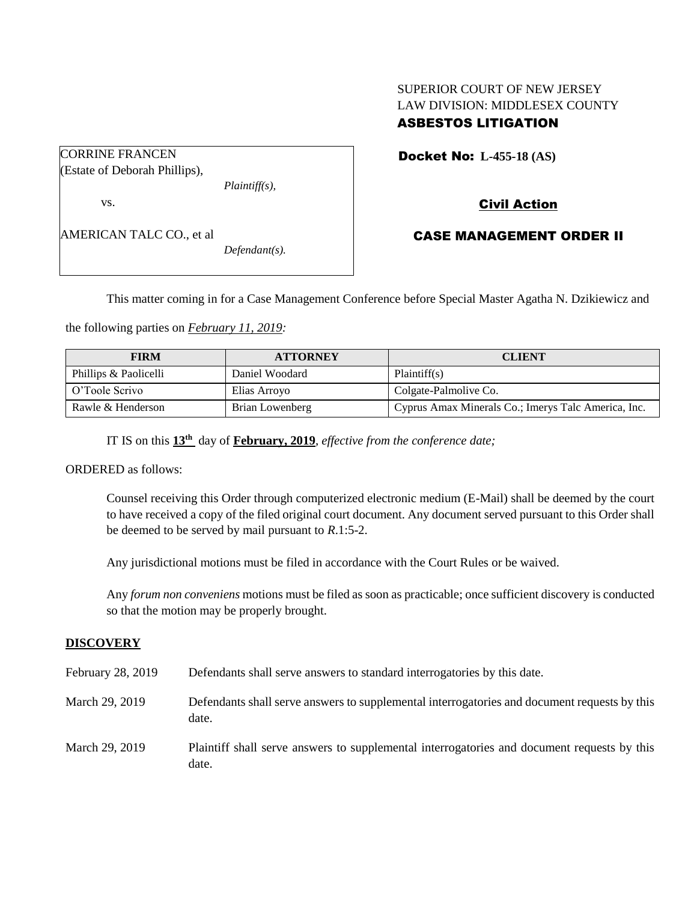## SUPERIOR COURT OF NEW JERSEY LAW DIVISION: MIDDLESEX COUNTY ASBESTOS LITIGATION

CORRINE FRANCEN (Estate of Deborah Phillips),

vs.

AMERICAN TALC CO., et al *Defendant(s).*

*Plaintiff(s),*

Docket No: **L-455-18 (AS)** 

# Civil Action

## CASE MANAGEMENT ORDER II

This matter coming in for a Case Management Conference before Special Master Agatha N. Dzikiewicz and

the following parties on *February 11, 2019:*

| <b>FIRM</b>           | <b>ATTORNEY</b> | <b>CLIENT</b>                                       |
|-----------------------|-----------------|-----------------------------------------------------|
| Phillips & Paolicelli | Daniel Woodard  | Plaintiff(s)                                        |
| O'Toole Scrivo        | Elias Arroyo    | Colgate-Palmolive Co.                               |
| Rawle & Henderson     | Brian Lowenberg | Cyprus Amax Minerals Co.; Imerys Talc America, Inc. |

IT IS on this **13th** day of **February, 2019**, *effective from the conference date;*

ORDERED as follows:

Counsel receiving this Order through computerized electronic medium (E-Mail) shall be deemed by the court to have received a copy of the filed original court document. Any document served pursuant to this Order shall be deemed to be served by mail pursuant to *R*.1:5-2.

Any jurisdictional motions must be filed in accordance with the Court Rules or be waived.

Any *forum non conveniens* motions must be filed as soon as practicable; once sufficient discovery is conducted so that the motion may be properly brought.

## **DISCOVERY**

| February 28, 2019 | Defendants shall serve answers to standard interrogatories by this date.                              |
|-------------------|-------------------------------------------------------------------------------------------------------|
| March 29, 2019    | Defendants shall serve answers to supplemental interrogatories and document requests by this<br>date. |
| March 29, 2019    | Plaintiff shall serve answers to supplemental interrogatories and document requests by this<br>date.  |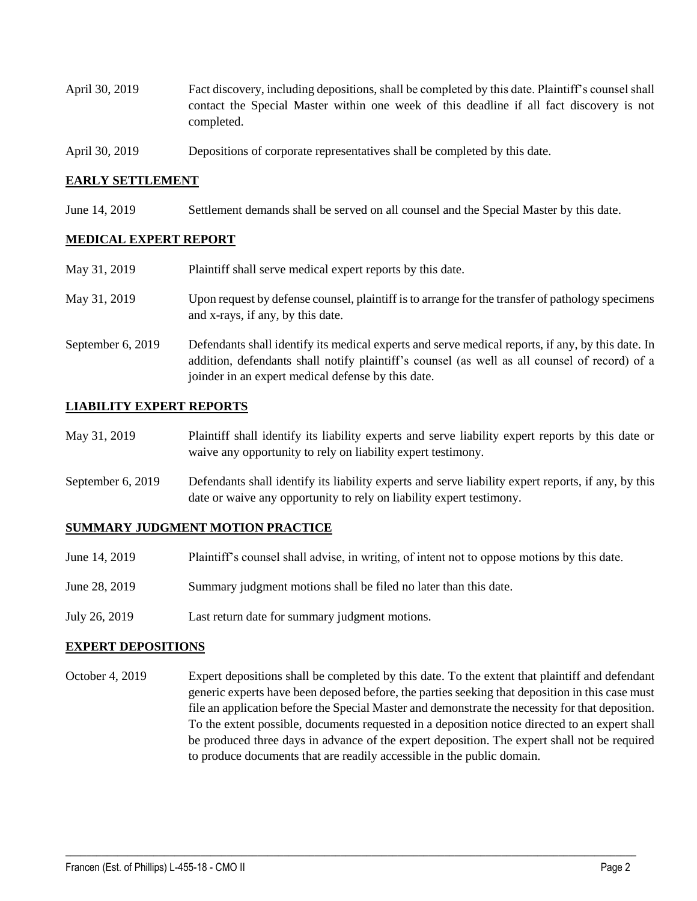- April 30, 2019 Fact discovery, including depositions, shall be completed by this date. Plaintiff's counsel shall contact the Special Master within one week of this deadline if all fact discovery is not completed.
- April 30, 2019 Depositions of corporate representatives shall be completed by this date.

### **EARLY SETTLEMENT**

June 14, 2019 Settlement demands shall be served on all counsel and the Special Master by this date.

#### **MEDICAL EXPERT REPORT**

| May 31, 2019      | Plaintiff shall serve medical expert reports by this date.                                                                                                                                                                                               |
|-------------------|----------------------------------------------------------------------------------------------------------------------------------------------------------------------------------------------------------------------------------------------------------|
| May 31, 2019      | Upon request by defense counsel, plaintiff is to arrange for the transfer of pathology specimens<br>and x-rays, if any, by this date.                                                                                                                    |
| September 6, 2019 | Defendants shall identify its medical experts and serve medical reports, if any, by this date. In<br>addition, defendants shall notify plaintiff's counsel (as well as all counsel of record) of a<br>joinder in an expert medical defense by this date. |

## **LIABILITY EXPERT REPORTS**

- May 31, 2019 Plaintiff shall identify its liability experts and serve liability expert reports by this date or waive any opportunity to rely on liability expert testimony.
- September 6, 2019 Defendants shall identify its liability experts and serve liability expert reports, if any, by this date or waive any opportunity to rely on liability expert testimony.

#### **SUMMARY JUDGMENT MOTION PRACTICE**

- June 14, 2019 Plaintiff's counsel shall advise, in writing, of intent not to oppose motions by this date.
- June 28, 2019 Summary judgment motions shall be filed no later than this date.
- July 26, 2019 Last return date for summary judgment motions.

#### **EXPERT DEPOSITIONS**

October 4, 2019 Expert depositions shall be completed by this date. To the extent that plaintiff and defendant generic experts have been deposed before, the parties seeking that deposition in this case must file an application before the Special Master and demonstrate the necessity for that deposition. To the extent possible, documents requested in a deposition notice directed to an expert shall be produced three days in advance of the expert deposition. The expert shall not be required to produce documents that are readily accessible in the public domain.

 $\_$  ,  $\_$  ,  $\_$  ,  $\_$  ,  $\_$  ,  $\_$  ,  $\_$  ,  $\_$  ,  $\_$  ,  $\_$  ,  $\_$  ,  $\_$  ,  $\_$  ,  $\_$  ,  $\_$  ,  $\_$  ,  $\_$  ,  $\_$  ,  $\_$  ,  $\_$  ,  $\_$  ,  $\_$  ,  $\_$  ,  $\_$  ,  $\_$  ,  $\_$  ,  $\_$  ,  $\_$  ,  $\_$  ,  $\_$  ,  $\_$  ,  $\_$  ,  $\_$  ,  $\_$  ,  $\_$  ,  $\_$  ,  $\_$  ,